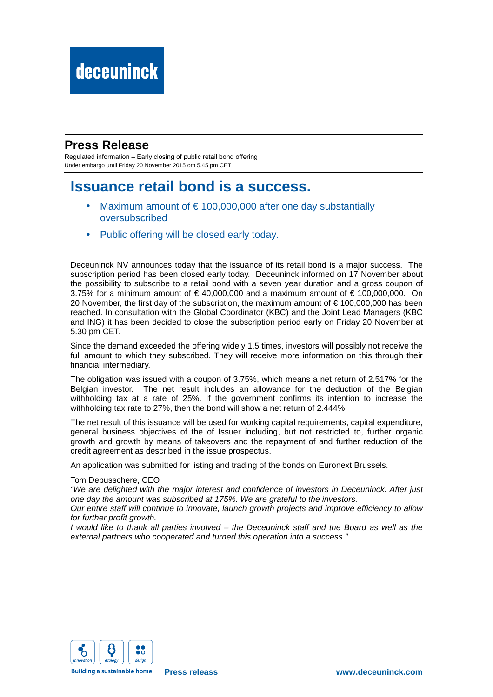### **Press Release**

Regulated information – Early closing of public retail bond offering Under embargo until Friday 20 November 2015 om 5.45 pm CET

## **Issuance retail bond is a success.**

- Maximum amount of  $\epsilon$  100,000,000 after one day substantially oversubscribed
- Public offering will be closed early today.

Deceuninck NV announces today that the issuance of its retail bond is a major success. The subscription period has been closed early today. Deceuninck informed on 17 November about the possibility to subscribe to a retail bond with a seven year duration and a gross coupon of 3.75% for a minimum amount of  $\in$  40,000,000 and a maximum amount of  $\in$  100,000,000. On 20 November, the first day of the subscription, the maximum amount of € 100,000,000 has been reached. In consultation with the Global Coordinator (KBC) and the Joint Lead Managers (KBC and ING) it has been decided to close the subscription period early on Friday 20 November at 5.30 pm CET.

Since the demand exceeded the offering widely 1,5 times, investors will possibly not receive the full amount to which they subscribed. They will receive more information on this through their financial intermediary.

The obligation was issued with a coupon of 3.75%, which means a net return of 2.517% for the Belgian investor. The net result includes an allowance for the deduction of the Belgian withholding tax at a rate of 25%. If the government confirms its intention to increase the withholding tax rate to 27%, then the bond will show a net return of 2.444%.

The net result of this issuance will be used for working capital requirements, capital expenditure, general business objectives of the of Issuer including, but not restricted to, further organic growth and growth by means of takeovers and the repayment of and further reduction of the credit agreement as described in the issue prospectus.

An application was submitted for listing and trading of the bonds on Euronext Brussels.

### Tom Debusschere, CEO

"We are delighted with the major interest and confidence of investors in Deceuninck. After just one day the amount was subscribed at 175%. We are grateful to the investors.

Our entire staff will continue to innovate, launch growth projects and improve efficiency to allow for further profit growth.

I would like to thank all parties involved – the Deceuninck staff and the Board as well as the external partners who cooperated and turned this operation into a success."



**Building a sustainable home**